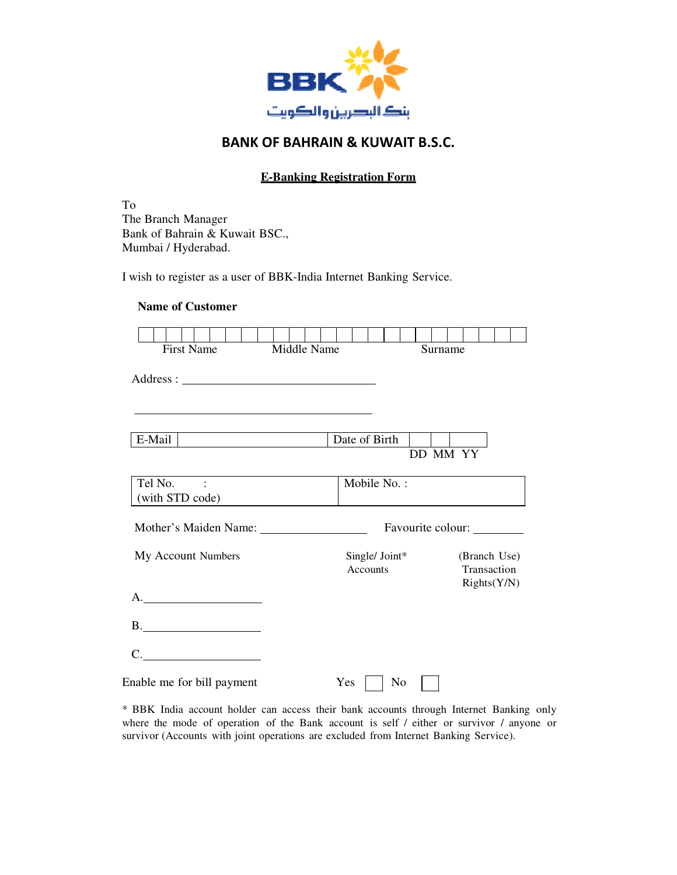

#### **E-Banking Registration Form**

To The Branch Manager Bank of Bahrain & Kuwait BSC., Mumbai / Hyderabad.

I wish to register as a user of BBK-India Internet Banking Service.

| <b>Name of Customer</b>                                                                             |             |                            |                   |          |             |                             |
|-----------------------------------------------------------------------------------------------------|-------------|----------------------------|-------------------|----------|-------------|-----------------------------|
| <b>First Name</b>                                                                                   | Middle Name |                            |                   | Surname  |             |                             |
|                                                                                                     |             |                            |                   |          |             |                             |
| the control of the control of the control of the control of the control of the control of<br>E-Mail |             | Date of Birth              |                   | DD MM YY |             |                             |
| Tel No. :<br>(with STD code)                                                                        |             | Mobile No.:                |                   |          |             |                             |
|                                                                                                     |             |                            | Favourite colour: |          |             |                             |
| My Account Numbers                                                                                  |             | Single/ Joint*<br>Accounts |                   |          | Transaction | (Branch Use)<br>Rights(Y/N) |
| A.                                                                                                  |             |                            |                   |          |             |                             |
|                                                                                                     |             |                            |                   |          |             |                             |
| C.                                                                                                  |             |                            |                   |          |             |                             |
| Enable me for bill payment                                                                          |             | Yes                        | No                |          |             |                             |

\* BBK India account holder can access their bank accounts through Internet Banking only where the mode of operation of the Bank account is self / either or survivor / anyone or survivor (Accounts with joint operations are excluded from Internet Banking Service).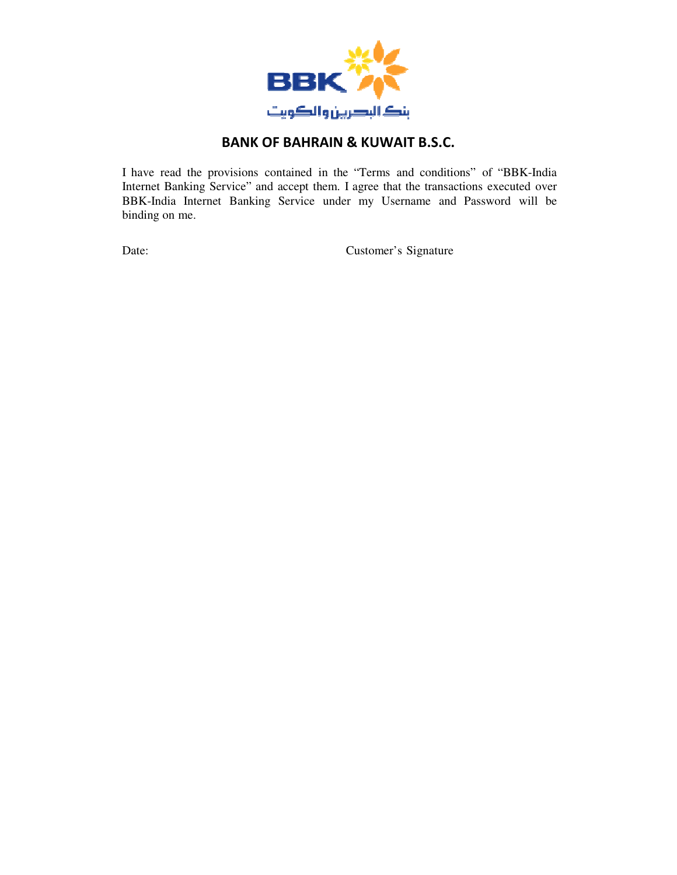

I have read the provisions contained in the "Terms and conditions" of "BBK-India Internet Banking Service" and accept them. I agree that the transactions executed over BBK-India Internet Banking Service under my Username and Password will be binding on me.

Date: Customer's Signature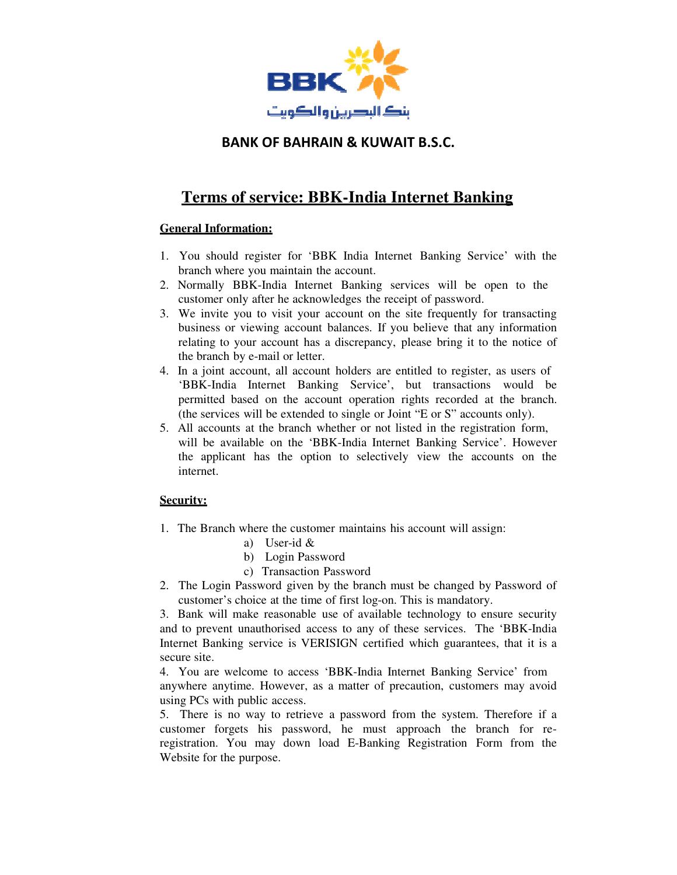

# **Terms of service: BBK-India Internet Banking**

#### **General Information:**

- 1. You should register for 'BBK India Internet Banking Service' with the branch where you maintain the account.
- 2. Normally BBK-India Internet Banking services will be open to the customer only after he acknowledges the receipt of password.
- 3. We invite you to visit your account on the site frequently for transacting business or viewing account balances. If you believe that any information relating to your account has a discrepancy, please bring it to the notice of the branch by e-mail or letter.
- 4. In a joint account, all account holders are entitled to register, as users of 'BBK-India Internet Banking Service', but transactions would be permitted based on the account operation rights recorded at the branch. (the services will be extended to single or Joint "E or S" accounts only).
- 5. All accounts at the branch whether or not listed in the registration form, will be available on the 'BBK-India Internet Banking Service'. However the applicant has the option to selectively view the accounts on the internet.

#### **Security:**

- 1. The Branch where the customer maintains his account will assign:
	- a) User-id &
		- b) Login Password
		- c) Transaction Password
- 2. The Login Password given by the branch must be changed by Password of customer's choice at the time of first log-on. This is mandatory.

3. Bank will make reasonable use of available technology to ensure security and to prevent unauthorised access to any of these services. The 'BBK-India Internet Banking service is VERISIGN certified which guarantees, that it is a secure site.

4. You are welcome to access 'BBK-India Internet Banking Service' from anywhere anytime. However, as a matter of precaution, customers may avoid using PCs with public access.

5. There is no way to retrieve a password from the system. Therefore if a customer forgets his password, he must approach the branch for reregistration. You may down load E-Banking Registration Form from the Website for the purpose.